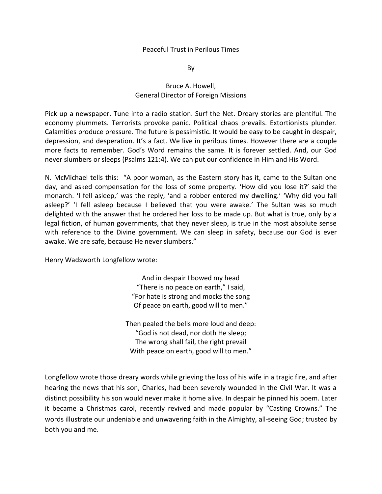## Peaceful Trust in Perilous Times

By

## Bruce A. Howell, General Director of Foreign Missions

Pick up a newspaper. Tune into a radio station. Surf the Net. Dreary stories are plentiful. The economy plummets. Terrorists provoke panic. Political chaos prevails. Extortionists plunder. Calamities produce pressure. The future is pessimistic. It would be easy to be caught in despair, depression, and desperation. It's a fact. We live in perilous times. However there are a couple more facts to remember. God's Word remains the same. It is forever settled. And, our God never slumbers or sleeps (Psalms 121:4). We can put our confidence in Him and His Word.

N. McMichael tells this: "A poor woman, as the Eastern story has it, came to the Sultan one day, and asked compensation for the loss of some property. 'How did you lose it?' said the monarch. 'I fell asleep,' was the reply, 'and a robber entered my dwelling.' 'Why did you fall asleep?' 'I fell asleep because I believed that you were awake.' The Sultan was so much delighted with the answer that he ordered her loss to be made up. But what is true, only by a legal fiction, of human governments, that they never sleep, is true in the most absolute sense with reference to the Divine government. We can sleep in safety, because our God is ever awake. We are safe, because He never slumbers."

Henry Wadsworth Longfellow wrote:

And in despair I bowed my head "There is no peace on earth," I said, "For hate is strong and mocks the song Of peace on earth, good will to men."

Then pealed the bells more loud and deep: "God is not dead, nor doth He sleep; The wrong shall fail, the right prevail With peace on earth, good will to men."

Longfellow wrote those dreary words while grieving the loss of his wife in a tragic fire, and after hearing the news that his son, Charles, had been severely wounded in the Civil War. It was a distinct possibility his son would never make it home alive. In despair he pinned his poem. Later it became a Christmas carol, recently revived and made popular by "Casting Crowns." The words illustrate our undeniable and unwavering faith in the Almighty, all-seeing God; trusted by both you and me.